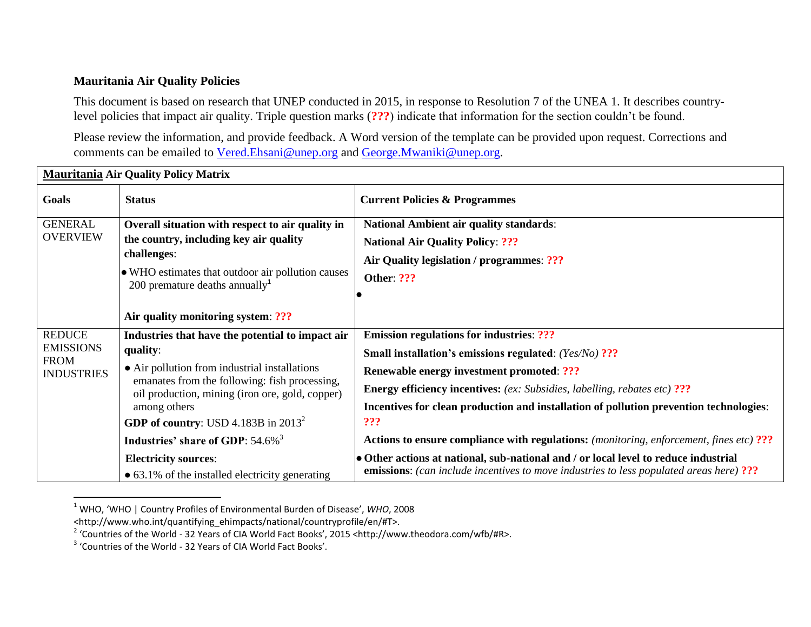## **Mauritania Air Quality Policies**

This document is based on research that UNEP conducted in 2015, in response to Resolution 7 of the UNEA 1. It describes countrylevel policies that impact air quality. Triple question marks (**???**) indicate that information for the section couldn't be found.

Please review the information, and provide feedback. A Word version of the template can be provided upon request. Corrections and comments can be emailed to [Vered.Ehsani@unep.org](mailto:Vered.Ehsani@unep.org) and [George.Mwaniki@unep.org.](mailto:George.Mwaniki@unep.org)

| iviaui Italija Ali-Quality I olicy iviatrix                           |                                                                                                                                                                                                                                                                                                                             |                                                                                                                                                                                                                                                                                                                                                                                                                                                      |  |
|-----------------------------------------------------------------------|-----------------------------------------------------------------------------------------------------------------------------------------------------------------------------------------------------------------------------------------------------------------------------------------------------------------------------|------------------------------------------------------------------------------------------------------------------------------------------------------------------------------------------------------------------------------------------------------------------------------------------------------------------------------------------------------------------------------------------------------------------------------------------------------|--|
| Goals                                                                 | <b>Status</b>                                                                                                                                                                                                                                                                                                               | <b>Current Policies &amp; Programmes</b>                                                                                                                                                                                                                                                                                                                                                                                                             |  |
| <b>GENERAL</b><br><b>OVERVIEW</b>                                     | Overall situation with respect to air quality in<br>the country, including key air quality<br>challenges:<br>• WHO estimates that outdoor air pollution causes<br>200 premature deaths annually <sup>1</sup>                                                                                                                | <b>National Ambient air quality standards:</b><br><b>National Air Quality Policy: ???</b><br>Air Quality legislation / programmes: ???<br><b>Other: ???</b>                                                                                                                                                                                                                                                                                          |  |
|                                                                       | Air quality monitoring system: ???                                                                                                                                                                                                                                                                                          |                                                                                                                                                                                                                                                                                                                                                                                                                                                      |  |
| <b>REDUCE</b><br><b>EMISSIONS</b><br><b>FROM</b><br><b>INDUSTRIES</b> | Industries that have the potential to impact air<br>quality:<br>• Air pollution from industrial installations<br>emanates from the following: fish processing,<br>oil production, mining (iron ore, gold, copper)<br>among others<br>GDP of country: USD 4.183B in $2013^2$<br>Industries' share of GDP: 54.6% <sup>3</sup> | <b>Emission regulations for industries: ???</b><br>Small installation's emissions regulated: (Yes/No) ???<br><b>Renewable energy investment promoted: ???</b><br><b>Energy efficiency incentives:</b> (ex: Subsidies, labelling, rebates etc) ???<br>Incentives for clean production and installation of pollution prevention technologies:<br>???<br><b>Actions to ensure compliance with regulations:</b> (monitoring, enforcement, fines etc) ??? |  |
|                                                                       | <b>Electricity sources:</b><br>$\bullet$ 63.1% of the installed electricity generating                                                                                                                                                                                                                                      | • Other actions at national, sub-national and / or local level to reduce industrial<br><b>emissions:</b> (can include incentives to move industries to less populated areas here) ???                                                                                                                                                                                                                                                                |  |

## **Mauritania Air Quality Policy Matrix**

 $\overline{a}$ 

<sup>1</sup> WHO, 'WHO | Country Profiles of Environmental Burden of Disease', *WHO*, 2008

<sup>&</sup>lt;http://www.who.int/quantifying\_ehimpacts/national/countryprofile/en/#T>.

<sup>&</sup>lt;sup>2</sup> 'Countries of the World - 32 Years of CIA World Fact Books', 2015 <http://www.theodora.com/wfb/#R>.

<sup>&</sup>lt;sup>3</sup> 'Countries of the World - 32 Years of CIA World Fact Books'.